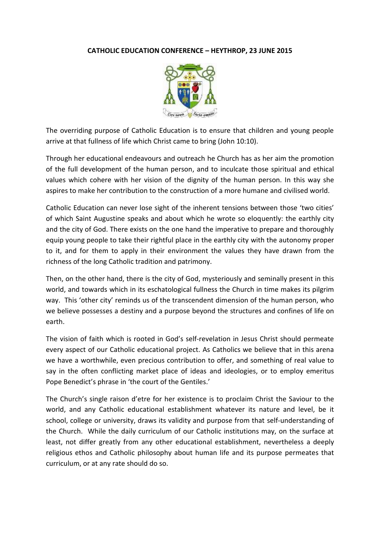## **CATHOLIC EDUCATION CONFERENCE – HEYTHROP, 23 JUNE 2015**



The overriding purpose of Catholic Education is to ensure that children and young people arrive at that fullness of life which Christ came to bring (John 10:10).

Through her educational endeavours and outreach he Church has as her aim the promotion of the full development of the human person, and to inculcate those spiritual and ethical values which cohere with her vision of the dignity of the human person. In this way she aspires to make her contribution to the construction of a more humane and civilised world.

Catholic Education can never lose sight of the inherent tensions between those 'two cities' of which Saint Augustine speaks and about which he wrote so eloquently: the earthly city and the city of God. There exists on the one hand the imperative to prepare and thoroughly equip young people to take their rightful place in the earthly city with the autonomy proper to it, and for them to apply in their environment the values they have drawn from the richness of the long Catholic tradition and patrimony.

Then, on the other hand, there is the city of God, mysteriously and seminally present in this world, and towards which in its eschatological fullness the Church in time makes its pilgrim way. This 'other city' reminds us of the transcendent dimension of the human person, who we believe possesses a destiny and a purpose beyond the structures and confines of life on earth.

The vision of faith which is rooted in God's self-revelation in Jesus Christ should permeate every aspect of our Catholic educational project. As Catholics we believe that in this arena we have a worthwhile, even precious contribution to offer, and something of real value to say in the often conflicting market place of ideas and ideologies, or to employ emeritus Pope Benedict's phrase in 'the court of the Gentiles.'

The Church's single raison d'etre for her existence is to proclaim Christ the Saviour to the world, and any Catholic educational establishment whatever its nature and level, be it school, college or university, draws its validity and purpose from that self-understanding of the Church. While the daily curriculum of our Catholic institutions may, on the surface at least, not differ greatly from any other educational establishment, nevertheless a deeply religious ethos and Catholic philosophy about human life and its purpose permeates that curriculum, or at any rate should do so.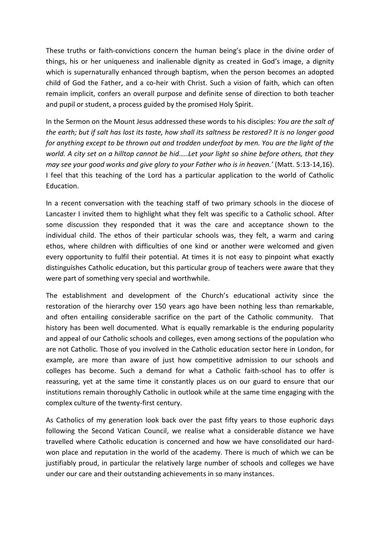These truths or faith-convictions concern the human being's place in the divine order of things, his or her uniqueness and inalienable dignity as created in God's image, a dignity which is supernaturally enhanced through baptism, when the person becomes an adopted child of God the Father, and a co-heir with Christ. Such a vision of faith, which can often remain implicit, confers an overall purpose and definite sense of direction to both teacher and pupil or student, a process guided by the promised Holy Spirit.

In the Sermon on the Mount Jesus addressed these words to his disciples: *You are the salt of the earth; but if salt has lost its taste, how shall its saltness be restored? It is no longer good for anything except to be thrown out and trodden underfoot by men. You are the light of the world. A city set on a hilltop cannot be hid…..Let your light so shine before others, that they may see your good works and give glory to your Father who is in heaven.'* (Matt. 5:13-14,16). I feel that this teaching of the Lord has a particular application to the world of Catholic Education.

In a recent conversation with the teaching staff of two primary schools in the diocese of Lancaster I invited them to highlight what they felt was specific to a Catholic school. After some discussion they responded that it was the care and acceptance shown to the individual child. The ethos of their particular schools was, they felt, a warm and caring ethos, where children with difficulties of one kind or another were welcomed and given every opportunity to fulfil their potential. At times it is not easy to pinpoint what exactly distinguishes Catholic education, but this particular group of teachers were aware that they were part of something very special and worthwhile.

The establishment and development of the Church's educational activity since the restoration of the hierarchy over 150 years ago have been nothing less than remarkable, and often entailing considerable sacrifice on the part of the Catholic community. That history has been well documented. What is equally remarkable is the enduring popularity and appeal of our Catholic schools and colleges, even among sections of the population who are not Catholic. Those of you involved in the Catholic education sector here in London, for example, are more than aware of just how competitive admission to our schools and colleges has become. Such a demand for what a Catholic faith-school has to offer is reassuring, yet at the same time it constantly places us on our guard to ensure that our institutions remain thoroughly Catholic in outlook while at the same time engaging with the complex culture of the twenty-first century.

As Catholics of my generation look back over the past fifty years to those euphoric days following the Second Vatican Council, we realise what a considerable distance we have travelled where Catholic education is concerned and how we have consolidated our hardwon place and reputation in the world of the academy. There is much of which we can be justifiably proud, in particular the relatively large number of schools and colleges we have under our care and their outstanding achievements in so many instances.